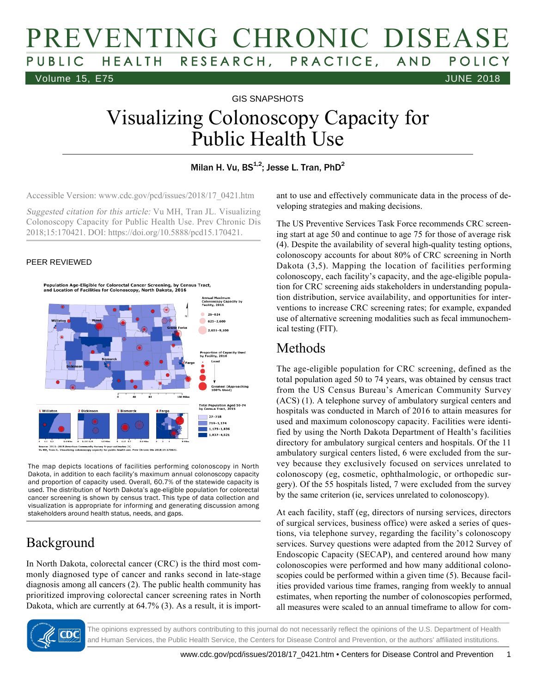# PREVENTING CHRONIC DISEASE PUBLIC HEALTH RESEARCH, PRACTICE, AND POLICY Volume 15, E75 JUNE 2018

GIS SNAPSHOTS

# Visualizing Colonoscopy Capacity for Public Health Use

#### Milan H. Vu, BS $^{1,2}$ ; Jesse L. Tran, PhD $^2$

Accessible Version: www.cdc.gov/pcd/issues/2018/17\_0421.htm

Suggested citation for this article: Vu MH, Tran JL. Visualizing Colonoscopy Capacity for Public Health Use. Prev Chronic Dis 2018;15:170421. DOI: https://doi.org/10.5888/pcd15.170421.

#### PEER REVIEWED



2015 Am nunity Survey 5-year estimates (1)<br>copy capacity for public health use.

The map depicts locations of facilities performing colonoscopy in North Dakota, in addition to each facility's maximum annual colonoscopy capacity and proportion of capacity used. Overall, 60.7% of the statewide capacity is used. The distribution of North Dakota's age-eligible population for colorectal cancer screening is shown by census tract. This type of data collection and visualization is appropriate for informing and generating discussion among stakeholders around health status, needs, and gaps.

#### Background

In North Dakota, colorectal cancer (CRC) is the third most commonly diagnosed type of cancer and ranks second in late-stage diagnosis among all cancers (2). The public health community has prioritized improving colorectal cancer screening rates in North Dakota, which are currently at 64.7% (3). As a result, it is important to use and effectively communicate data in the process of developing strategies and making decisions.

The US Preventive Services Task Force recommends CRC screening start at age 50 and continue to age 75 for those of average risk (4). Despite the availability of several high-quality testing options, colonoscopy accounts for about 80% of CRC screening in North Dakota (3,5). Mapping the location of facilities performing colonoscopy, each facility's capacity, and the age-eligible population for CRC screening aids stakeholders in understanding population distribution, service availability, and opportunities for interventions to increase CRC screening rates; for example, expanded use of alternative screening modalities such as fecal immunochemical testing (FIT).

#### Methods

The age-eligible population for CRC screening, defined as the total population aged 50 to 74 years, was obtained by census tract from the US Census Bureau's American Community Survey (ACS) (1). A telephone survey of ambulatory surgical centers and hospitals was conducted in March of 2016 to attain measures for used and maximum colonoscopy capacity. Facilities were identified by using the North Dakota Department of Health's facilities directory for ambulatory surgical centers and hospitals. Of the 11 ambulatory surgical centers listed, 6 were excluded from the survey because they exclusively focused on services unrelated to colonoscopy (eg, cosmetic, ophthalmologic, or orthopedic surgery). Of the 55 hospitals listed, 7 were excluded from the survey by the same criterion (ie, services unrelated to colonoscopy).

At each facility, staff (eg, directors of nursing services, directors of surgical services, business office) were asked a series of questions, via telephone survey, regarding the facility's colonoscopy services. Survey questions were adapted from the 2012 Survey of Endoscopic Capacity (SECAP), and centered around how many colonoscopies were performed and how many additional colonoscopies could be performed within a given time (5). Because facilities provided various time frames, ranging from weekly to annual estimates, when reporting the number of colonoscopies performed, all measures were scaled to an annual timeframe to allow for com-



The opinions expressed by authors contributing to this journal do not necessarily reflect the opinions of the U.S. Department of Health and Human Services, the Public Health Service, the Centers for Disease Control and Prevention, or the authors' affiliated institutions.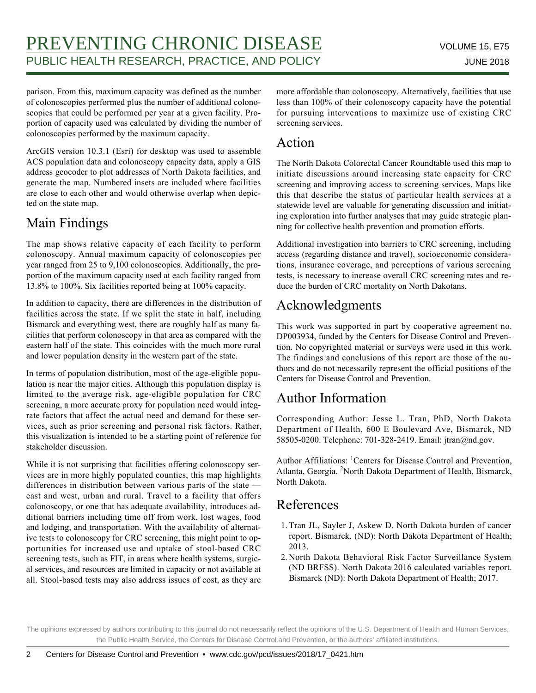parison. From this, maximum capacity was defined as the number of colonoscopies performed plus the number of additional colonoscopies that could be performed per year at a given facility. Proportion of capacity used was calculated by dividing the number of colonoscopies performed by the maximum capacity.

ArcGIS version 10.3.1 (Esri) for desktop was used to assemble ACS population data and colonoscopy capacity data, apply a GIS address geocoder to plot addresses of North Dakota facilities, and generate the map. Numbered insets are included where facilities are close to each other and would otherwise overlap when depicted on the state map.

### Main Findings

The map shows relative capacity of each facility to perform colonoscopy. Annual maximum capacity of colonoscopies per year ranged from 25 to 9,100 colonoscopies. Additionally, the proportion of the maximum capacity used at each facility ranged from 13.8% to 100%. Six facilities reported being at 100% capacity.

In addition to capacity, there are differences in the distribution of facilities across the state. If we split the state in half, including Bismarck and everything west, there are roughly half as many facilities that perform colonoscopy in that area as compared with the eastern half of the state. This coincides with the much more rural and lower population density in the western part of the state.

In terms of population distribution, most of the age-eligible population is near the major cities. Although this population display is limited to the average risk, age-eligible population for CRC screening, a more accurate proxy for population need would integrate factors that affect the actual need and demand for these services, such as prior screening and personal risk factors. Rather, this visualization is intended to be a starting point of reference for stakeholder discussion.

While it is not surprising that facilities offering colonoscopy services are in more highly populated counties, this map highlights differences in distribution between various parts of the state east and west, urban and rural. Travel to a facility that offers colonoscopy, or one that has adequate availability, introduces additional barriers including time off from work, lost wages, food and lodging, and transportation. With the availability of alternative tests to colonoscopy for CRC screening, this might point to opportunities for increased use and uptake of stool-based CRC screening tests, such as FIT, in areas where health systems, surgical services, and resources are limited in capacity or not available at all. Stool-based tests may also address issues of cost, as they are more affordable than colonoscopy. Alternatively, facilities that use less than 100% of their colonoscopy capacity have the potential for pursuing interventions to maximize use of existing CRC screening services.

#### Action

The North Dakota Colorectal Cancer Roundtable used this map to initiate discussions around increasing state capacity for CRC screening and improving access to screening services. Maps like this that describe the status of particular health services at a statewide level are valuable for generating discussion and initiating exploration into further analyses that may guide strategic planning for collective health prevention and promotion efforts.

Additional investigation into barriers to CRC screening, including access (regarding distance and travel), socioeconomic considerations, insurance coverage, and perceptions of various screening tests, is necessary to increase overall CRC screening rates and reduce the burden of CRC mortality on North Dakotans.

## Acknowledgments

This work was supported in part by cooperative agreement no. DP003934, funded by the Centers for Disease Control and Prevention. No copyrighted material or surveys were used in this work. The findings and conclusions of this report are those of the authors and do not necessarily represent the official positions of the Centers for Disease Control and Prevention.

## Author Information

Corresponding Author: Jesse L. Tran, PhD, North Dakota Department of Health, 600 E Boulevard Ave, Bismarck, ND 58505-0200. Telephone: 701-328-2419. Email: jtran@nd.gov.

Author Affiliations: <sup>1</sup>Centers for Disease Control and Prevention, Atlanta, Georgia. <sup>2</sup>North Dakota Department of Health, Bismarck, North Dakota.

#### References

- 1. Tran JL, Sayler J, Askew D. North Dakota burden of cancer report. Bismarck, (ND): North Dakota Department of Health; 2013.
- 2. North Dakota Behavioral Risk Factor Surveillance System (ND BRFSS). North Dakota 2016 calculated variables report. Bismarck (ND): North Dakota Department of Health; 2017.

The opinions expressed by authors contributing to this journal do not necessarily reflect the opinions of the U.S. Department of Health and Human Services, the Public Health Service, the Centers for Disease Control and Prevention, or the authors' affiliated institutions.